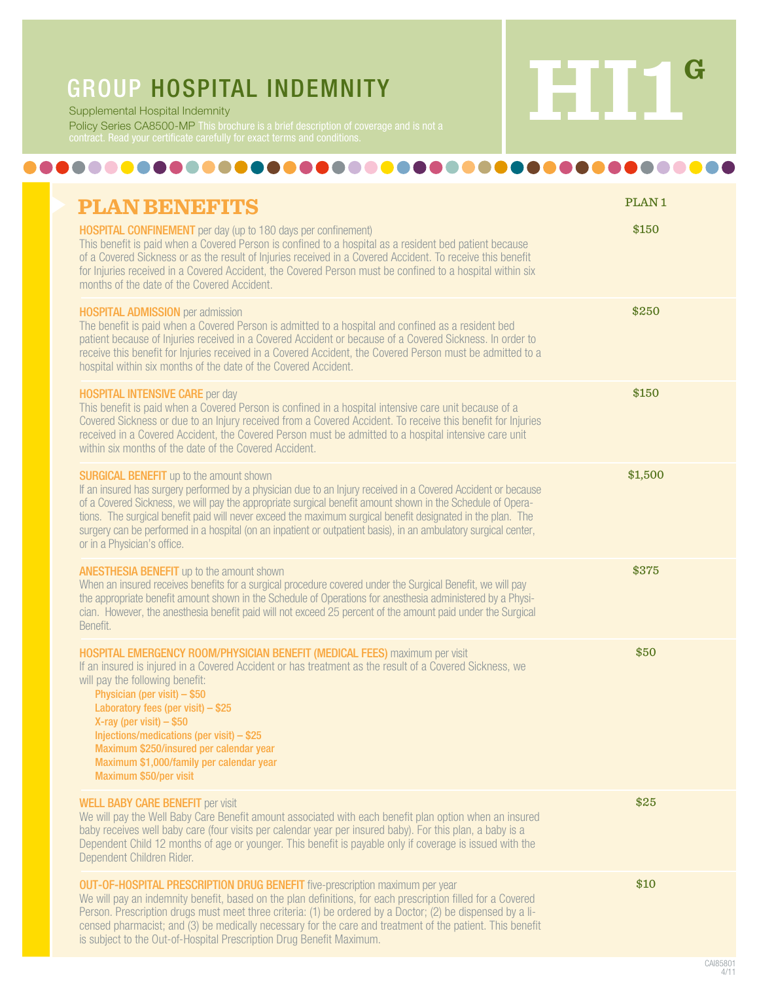

Supplemental Hospital Indemnity

Policy Series CA8500-MP This brochure is a brief description of coverage and is not a

## ...................

| <b>PLAN BENEFITS</b>                                                                                                                                                                                                                                                                                                                                                                                                                                                                                                                           | PLAN <sub>1</sub> |
|------------------------------------------------------------------------------------------------------------------------------------------------------------------------------------------------------------------------------------------------------------------------------------------------------------------------------------------------------------------------------------------------------------------------------------------------------------------------------------------------------------------------------------------------|-------------------|
| <b>HOSPITAL CONFINEMENT</b> per day (up to 180 days per confinement)<br>This benefit is paid when a Covered Person is confined to a hospital as a resident bed patient because<br>of a Covered Sickness or as the result of Injuries received in a Covered Accident. To receive this benefit<br>for Injuries received in a Covered Accident, the Covered Person must be confined to a hospital within six<br>months of the date of the Covered Accident.                                                                                       | \$150             |
| <b>HOSPITAL ADMISSION</b> per admission<br>The benefit is paid when a Covered Person is admitted to a hospital and confined as a resident bed<br>patient because of Injuries received in a Covered Accident or because of a Covered Sickness. In order to<br>receive this benefit for Injuries received in a Covered Accident, the Covered Person must be admitted to a<br>hospital within six months of the date of the Covered Accident.                                                                                                     | \$250             |
| <b>HOSPITAL INTENSIVE CARE per day</b><br>This benefit is paid when a Covered Person is confined in a hospital intensive care unit because of a<br>Covered Sickness or due to an Injury received from a Covered Accident. To receive this benefit for Injuries<br>received in a Covered Accident, the Covered Person must be admitted to a hospital intensive care unit<br>within six months of the date of the Covered Accident.                                                                                                              | \$150             |
| <b>SURGICAL BENEFIT</b> up to the amount shown<br>If an insured has surgery performed by a physician due to an Injury received in a Covered Accident or because<br>of a Covered Sickness, we will pay the appropriate surgical benefit amount shown in the Schedule of Opera-<br>tions. The surgical benefit paid will never exceed the maximum surgical benefit designated in the plan. The<br>surgery can be performed in a hospital (on an inpatient or outpatient basis), in an ambulatory surgical center,<br>or in a Physician's office. | \$1,500           |
| <b>ANESTHESIA BENEFIT</b> up to the amount shown<br>When an insured receives benefits for a surgical procedure covered under the Surgical Benefit, we will pay<br>the appropriate benefit amount shown in the Schedule of Operations for anesthesia administered by a Physi-<br>cian. However, the anesthesia benefit paid will not exceed 25 percent of the amount paid under the Surgical<br>Benefit.                                                                                                                                        | \$375             |
| HOSPITAL EMERGENCY ROOM/PHYSICIAN BENEFIT (MEDICAL FEES) maximum per visit<br>If an insured is injured in a Covered Accident or has treatment as the result of a Covered Sickness, we<br>will pay the following benefit:<br>Physician (per visit) - \$50<br>Laboratory fees (per visit) - \$25<br>X-ray (per visit) $-$ \$50<br>Injections/medications (per visit) $-$ \$25<br>Maximum \$250/insured per calendar year<br>Maximum \$1,000/family per calendar year<br>Maximum \$50/per visit                                                   | \$50              |
| <b>WELL BABY CARE BENEFIT per visit</b><br>We will pay the Well Baby Care Benefit amount associated with each benefit plan option when an insured<br>baby receives well baby care (four visits per calendar year per insured baby). For this plan, a baby is a<br>Dependent Child 12 months of age or younger. This benefit is payable only if coverage is issued with the<br>Dependent Children Rider.                                                                                                                                        | \$25              |
| <b>OUT-OF-HOSPITAL PRESCRIPTION DRUG BENEFIT</b> five-prescription maximum per year<br>We will pay an indemnity benefit, based on the plan definitions, for each prescription filled for a Covered<br>Person. Prescription drugs must meet three criteria: (1) be ordered by a Doctor; (2) be dispensed by a li-<br>censed pharmacist; and (3) be medically necessary for the care and treatment of the patient. This benefit<br>is subject to the Out-of-Hospital Prescription Drug Benefit Maximum.                                          | \$10              |